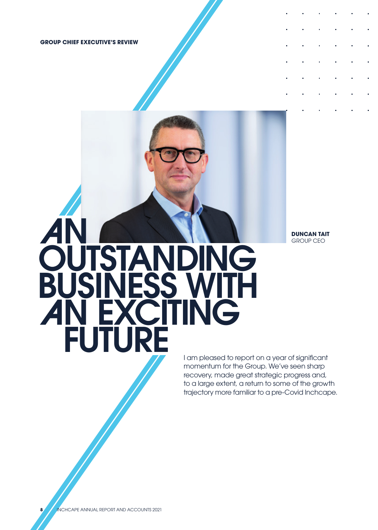**GROUP CHIEF EXECUTIVE'S REVIEW**

**DUNCAN TAIT** GROUP CEO

# AN **OUTSTANDING**  BUSINESS WITH **AN EXCITING** FUTURE

I am pleased to report on a year of significant momentum for the Group. We've seen sharp recovery, made great strategic progress and, to a large extent, a return to some of the growth trajectory more familiar to a pre-Covid Inchcape.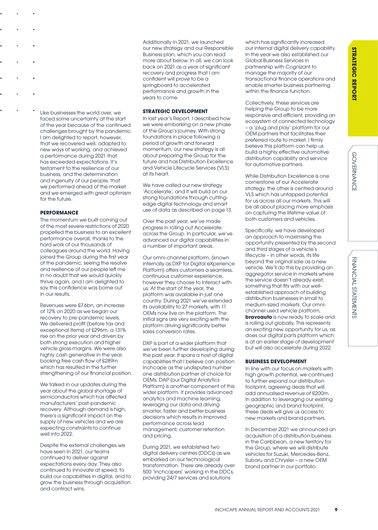Like businesses the world over, we faced some uncertainty at the start of the year because of the continued challenges brought by the pandemic. I am delighted to report, however, that we recovered well, adapted to new ways of working, and achieved a performance during 2021 that has exceeded expectations. It's testament to the resilience of our business, and the determination and ingenuity of our people, that we performed ahead of the market and we emerged with great optimism for the future.

# **PERFORMANCE**

The momentum we built coming out of the most severe restrictions of 2020 propelled the business to an excellent performance overall, thanks to the hard work of our thousands of colleagues around the world. Having joined the Group during the first year of the pandemic, seeing the resolve and resilience of our people left me in no doubt that we would quickly thrive again, and I am delighted to say this confidence was borne out in our results.

Revenues were £7.6bn, an increase of 12% on 2020 as we began our recovery to pre-pandemic levels. We delivered profit (before tax and exceptional items) of £296m, a 131% rise on the prior year and driven by both strong execution and higher vehicle gross margins. We were also highly cash generative in the year, booking free cash flow of £289m which has resulted in the further strengthening of our financial position.

We talked in our updates during the year about the global shortage of semiconductors which has affected manufacturers' post-pandemic recovery. Although demand is high, there's a significant impact on the supply of new vehicles and we are expecting constraints to continue well into 2022.

Despite the external challenges we have seen in 2021, our teams continued to deliver against expectations every day. They also continued to innovate at speed, to build our capabilities in digital, and to grow the business through acquisition and contract wins.

Additionally in 2021, we launched our new strategy and our Responsible Business plan, which you can read more about below. In all, we can look back on 2021 as a year of significant recovery and progress that I am confident will prove to be a springboard to accelerated performance and growth in the years to come.

# **STRATEGIC DEVELOPMENT**

In last year's Report, I described how we were embarking on a new phase of the Group's journey. With strong foundations in place following a period of growth and forward momentum, our new strategy is all about preparing the Group for the future and has Distribution Excellence and Vehicle Lifecycle Services (VLS) at its heart.

We have called our new strategy 'Accelerate', and it will build on our strong foundations through cuttingedge digital technology and smart use of data as described on page 13.

Over the past year, we've made progress in rolling out Accelerate across the Group. In particular, we've advanced our digital capabilities in a number of important areas.

Our omni-channel platform, (known internally as DXP for Digital eXperience Platform) offers customers a seamless, continuous customer experience, however they choose to interact with us. At the start of the year, the platform was available in just one country. During 2021 we've extended its availability to 27 markets, with 11 OEMs now live on the platform. The initial signs are very exciting with the platform driving significantly better sales conversion rates.

DXP is part of a wider platform that we've been further developing during the past year. It spans a host of digital capabilities that I believe can position Inchcape as the undisputed number one distribution partner of choice for OEMs. DAP (our Digital Analytics Platform) is another component of this wider platform. It provides advanced analytics and machine learning, leveraging our data and driving smarter, faster and better business decisions which results in improved performance across lead management, customer retention and pricing.

During 2021, we established two digital delivery centres (DDCs) as we embarked on our technological transformation. There are already over 500 'Inchcapers' working in the DDCs, providing 24/7 services and solutions

which has significantly increased our internal digital delivery capability. In the year we also established our Global Business Services in partnership with Cognizant to manage the majority of our transactional finance operations and enable smarter business partnering within the finance function.

Collectively, these services are helping the Group to be more responsive and efficient, providing an ecosystem of connected technology – a 'plug and play' platform for our OEM partners that facilitates their preferred route to market. I firmly believe this platform can help us build a highly effective automotive distribution capability and service for automotive partners.

While Distribution Excellence is one cornerstone of our Accelerate strategy, the other is centred around VLS which has untapped potential for us across all our markets. This will be all about placing more emphasis on capturing the lifetime value of both customers and vehicles.

Specifically, we have developed an approach to maximising the opportunity presented by the second and third stages of a vehicle's lifecycle – in other words, its life beyond the original sale as a new vehicle. We'll do this by providing an aggregator service in markets where the service doesn't already exist; something that fits with our wellestablished approach of building distribution businesses in small to medium-sized markets. Our omnichannel used vehicle platform, **bravoauto** is now ready to scale and is rolling out globally. This represents an exciting new opportunity for us, as does our digital parts platform which is at an earlier stage of development but will also accelerate during 2022.

# **BUSINESS DEVELOPMENT**

In line with our focus on markets with high growth potential, we continued to further expand our distribution footprint, agreeing deals that will add annualised revenue of £200m. In addition to leveraging our existing geographic and brand footprint, these deals will give us access to new markets and brand partners.

In December 2021 we announced an acquisition of a distribution business in the Caribbean, a new territory for the Group, where we will distribute vehicles for Suzuki, Mercedes-Benz, Subaru and Chrysler – a new OEM brand partner in our portfolio.